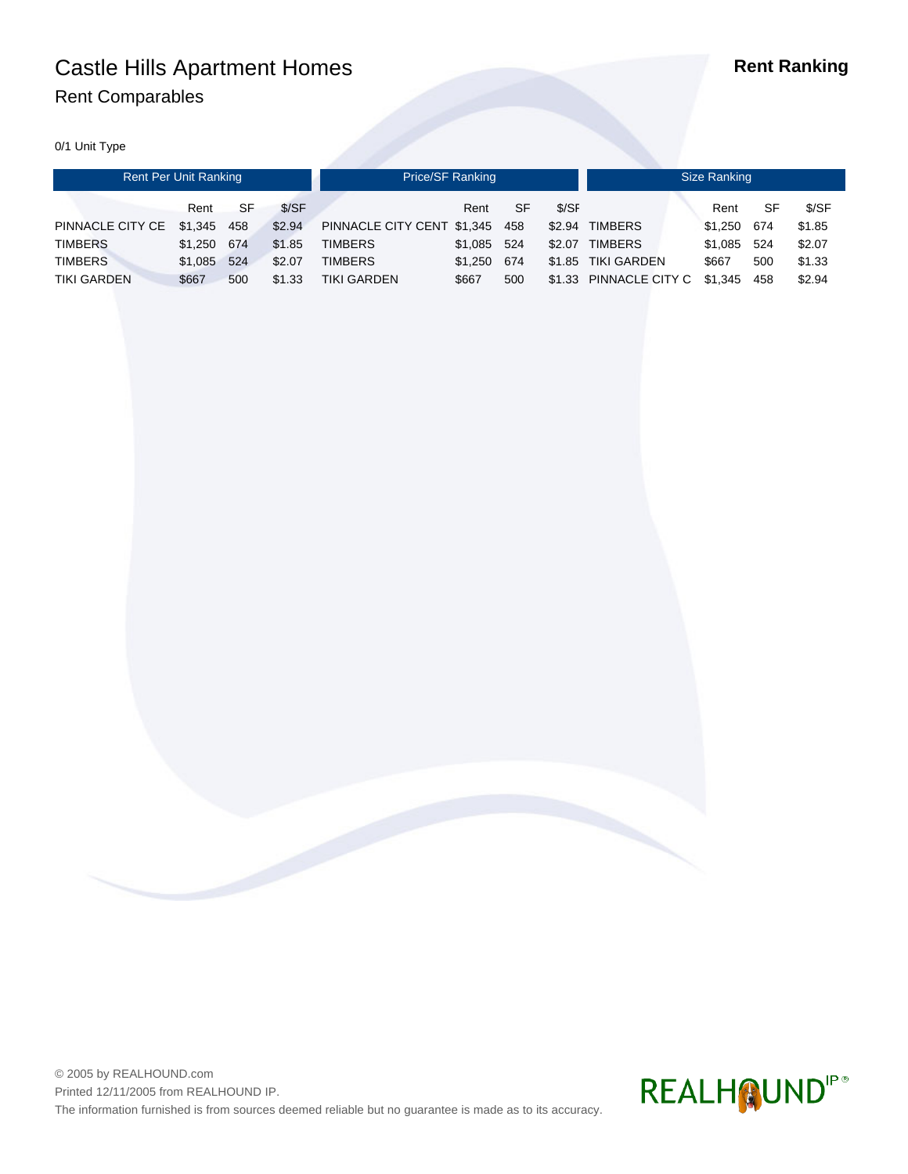# Castle Hills Apartment Homes **Rent Ranking** Rent Comparables

0/1 Unit Type

| Rent Per Unit Ranking |         |     |        | Price/SF Ranking           |         |     |        | Size Ranking           |         |     |        |  |
|-----------------------|---------|-----|--------|----------------------------|---------|-----|--------|------------------------|---------|-----|--------|--|
|                       | Rent    | SF  | S/SF   |                            | Rent    | SF  | \$/SF  |                        | Rent    | SF  | \$/SF  |  |
| PINNACLE CITY CE      | \$1.345 | 458 | \$2.94 | PINNACLE CITY CENT \$1,345 |         | 458 | \$2.94 | <b>TIMBERS</b>         | \$1,250 | 674 | \$1.85 |  |
| <b>TIMBERS</b>        | \$1.250 | 674 | \$1.85 | <b>TIMBERS</b>             | \$1.085 | 524 | \$2.07 | <b>TIMBERS</b>         | \$1.085 | 524 | \$2.07 |  |
| <b>TIMBERS</b>        | \$1.085 | 524 | \$2.07 | <b>TIMBERS</b>             | \$1.250 | 674 |        | \$1.85 TIKI GARDEN     | \$667   | 500 | \$1.33 |  |
| <b>TIKI GARDEN</b>    | \$667   | 500 | \$1.33 | <b>TIKI GARDEN</b>         | \$667   | 500 |        | \$1.33 PINNACLE CITY C | \$1,345 | 458 | \$2.94 |  |



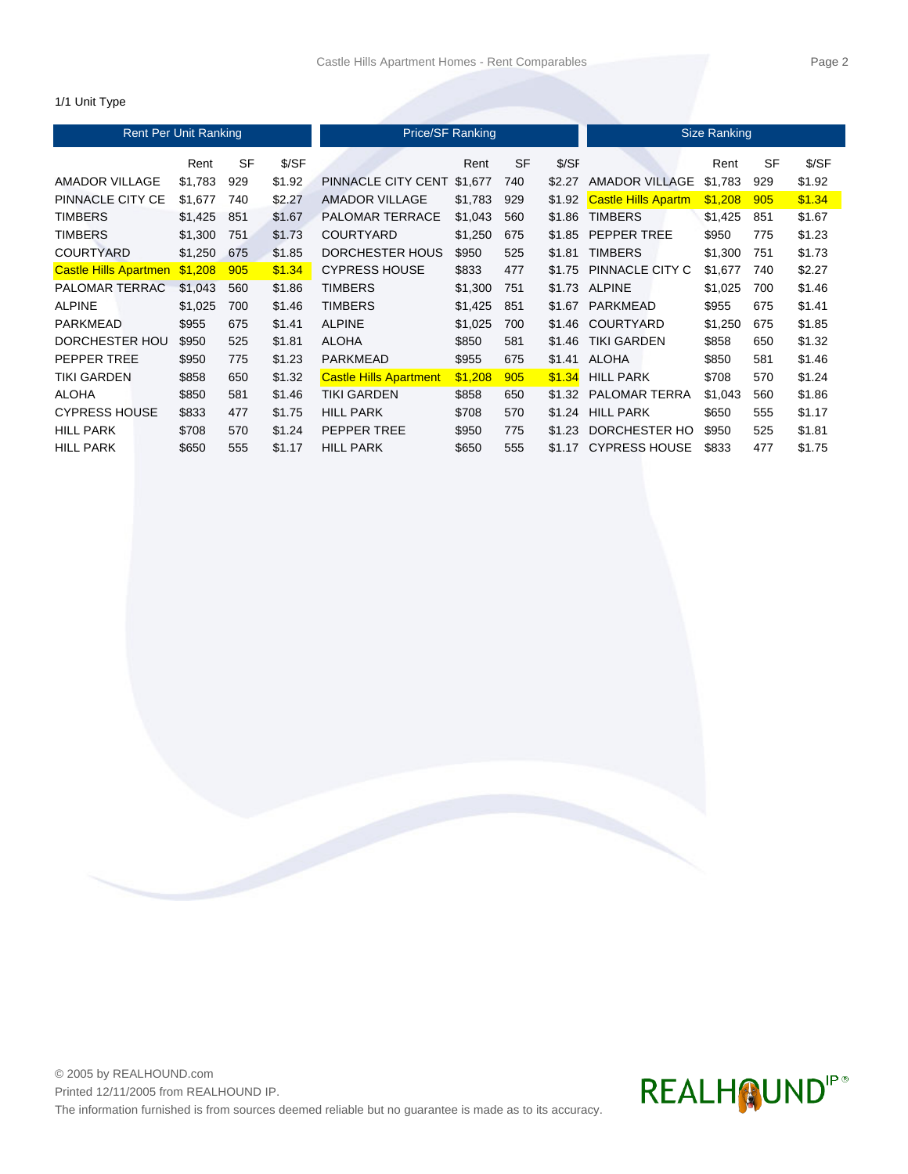### 1/1 Unit Type

| <b>Rent Per Unit Ranking</b> |         |           |        | Price/SF Ranking              | <b>Size Ranking</b> |           |        |                            |         |     |        |
|------------------------------|---------|-----------|--------|-------------------------------|---------------------|-----------|--------|----------------------------|---------|-----|--------|
|                              | Rent    | <b>SF</b> | \$/SF  |                               | Rent                | <b>SF</b> | \$/SF  |                            | Rent    | SF  | \$/SF  |
| AMADOR VILLAGE               | \$1,783 | 929       | \$1.92 | PINNACLE CITY CENT            | \$1,677             | 740       | \$2.27 | <b>AMADOR VILLAGE</b>      | \$1,783 | 929 | \$1.92 |
| PINNACLE CITY CE             | \$1,677 | 740       | \$2.27 | <b>AMADOR VILLAGE</b>         | \$1,783             | 929       | \$1.92 | <b>Castle Hills Apartm</b> | \$1,208 | 905 | \$1.34 |
| <b>TIMBERS</b>               | \$1,425 | 851       | \$1.67 | <b>PALOMAR TERRACE</b>        | \$1,043             | 560       | \$1.86 | <b>TIMBERS</b>             | \$1,425 | 851 | \$1.67 |
| <b>TIMBERS</b>               | \$1,300 | 751       | \$1.73 | <b>COURTYARD</b>              | \$1,250             | 675       | \$1.85 | PEPPER TREE                | \$950   | 775 | \$1.23 |
| <b>COURTYARD</b>             | \$1,250 | 675       | \$1.85 | DORCHESTER HOUS               | \$950               | 525       | \$1.81 | <b>TIMBERS</b>             | \$1,300 | 751 | \$1.73 |
| <b>Castle Hills Apartmen</b> | \$1,208 | 905       | \$1.34 | <b>CYPRESS HOUSE</b>          | \$833               | 477       | \$1.75 | PINNACLE CITY C            | \$1,677 | 740 | \$2.27 |
| <b>PALOMAR TERRAC</b>        | \$1,043 | 560       | \$1.86 | <b>TIMBERS</b>                | \$1,300             | 751       | \$1.73 | <b>ALPINE</b>              | \$1,025 | 700 | \$1.46 |
| <b>ALPINE</b>                | \$1,025 | 700       | \$1.46 | <b>TIMBERS</b>                | \$1,425             | 851       | \$1.67 | PARKMEAD                   | \$955   | 675 | \$1.41 |
| <b>PARKMEAD</b>              | \$955   | 675       | \$1.41 | <b>ALPINE</b>                 | \$1,025             | 700       | \$1.46 | <b>COURTYARD</b>           | \$1,250 | 675 | \$1.85 |
| DORCHESTER HOU               | \$950   | 525       | \$1.81 | <b>ALOHA</b>                  | \$850               | 581       | \$1.46 | <b>TIKI GARDEN</b>         | \$858   | 650 | \$1.32 |
| PEPPER TREE                  | \$950   | 775       | \$1.23 | <b>PARKMEAD</b>               | \$955               | 675       | \$1.41 | <b>ALOHA</b>               | \$850   | 581 | \$1.46 |
| <b>TIKI GARDEN</b>           | \$858   | 650       | \$1.32 | <b>Castle Hills Apartment</b> | \$1,208             | 905       | \$1.34 | <b>HILL PARK</b>           | \$708   | 570 | \$1.24 |
| <b>ALOHA</b>                 | \$850   | 581       | \$1.46 | TIKI GARDEN                   | \$858               | 650       | \$1.32 | <b>PALOMAR TERRA</b>       | \$1,043 | 560 | \$1.86 |
| <b>CYPRESS HOUSE</b>         | \$833   | 477       | \$1.75 | <b>HILL PARK</b>              | \$708               | 570       | \$1.24 | <b>HILL PARK</b>           | \$650   | 555 | \$1.17 |
| <b>HILL PARK</b>             | \$708   | 570       | \$1.24 | PEPPER TREE                   | \$950               | 775       | \$1.23 | DORCHESTER HO              | \$950   | 525 | \$1.81 |
| <b>HILL PARK</b>             | \$650   | 555       | \$1.17 | <b>HILL PARK</b>              | \$650               | 555       | \$1.17 | <b>CYPRESS HOUSE</b>       | \$833   | 477 | \$1.75 |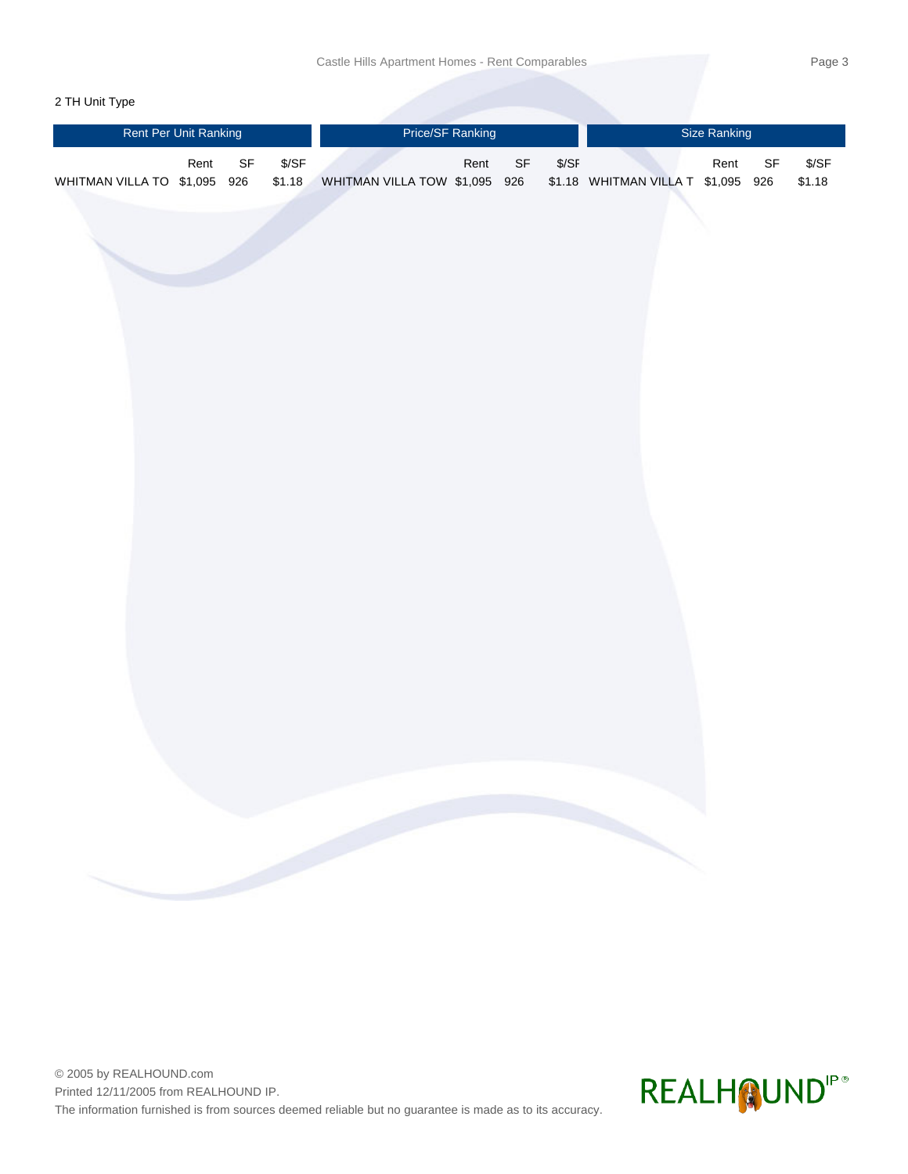# 2 TH Unit Type

| Rent Per Unit Ranking        |      |                                   |                  | Price/SF Ranking              |      |                                   |        | Size Ranking                       |      |                                   |                  |  |
|------------------------------|------|-----------------------------------|------------------|-------------------------------|------|-----------------------------------|--------|------------------------------------|------|-----------------------------------|------------------|--|
| WHITMAN VILLA TO \$1,095 926 | Rent | $\ensuremath{\mathsf{SF}}\xspace$ | $S/SF$<br>\$1.18 | WHITMAN VILLA TOW \$1,095 926 | Rent | $\ensuremath{\mathsf{SF}}\xspace$ | $S/SF$ | \$1.18 WHITMAN VILLA T \$1,095 926 | Rent | $\ensuremath{\mathsf{SF}}\xspace$ | $S/SF$<br>\$1.18 |  |
|                              |      |                                   |                  |                               |      |                                   |        |                                    |      |                                   |                  |  |
|                              |      |                                   |                  |                               |      |                                   |        |                                    |      |                                   |                  |  |
|                              |      |                                   |                  |                               |      |                                   |        |                                    |      |                                   |                  |  |
|                              |      |                                   |                  |                               |      |                                   |        |                                    |      |                                   |                  |  |
|                              |      |                                   |                  |                               |      |                                   |        |                                    |      |                                   |                  |  |
|                              |      |                                   |                  |                               |      |                                   |        |                                    |      |                                   |                  |  |
|                              |      |                                   |                  |                               |      |                                   |        |                                    |      |                                   |                  |  |
|                              |      |                                   |                  |                               |      |                                   |        |                                    |      |                                   |                  |  |
|                              |      |                                   |                  |                               |      |                                   |        |                                    |      |                                   |                  |  |
|                              |      |                                   |                  |                               |      |                                   |        |                                    |      |                                   |                  |  |
|                              |      |                                   |                  |                               |      |                                   |        |                                    |      |                                   |                  |  |

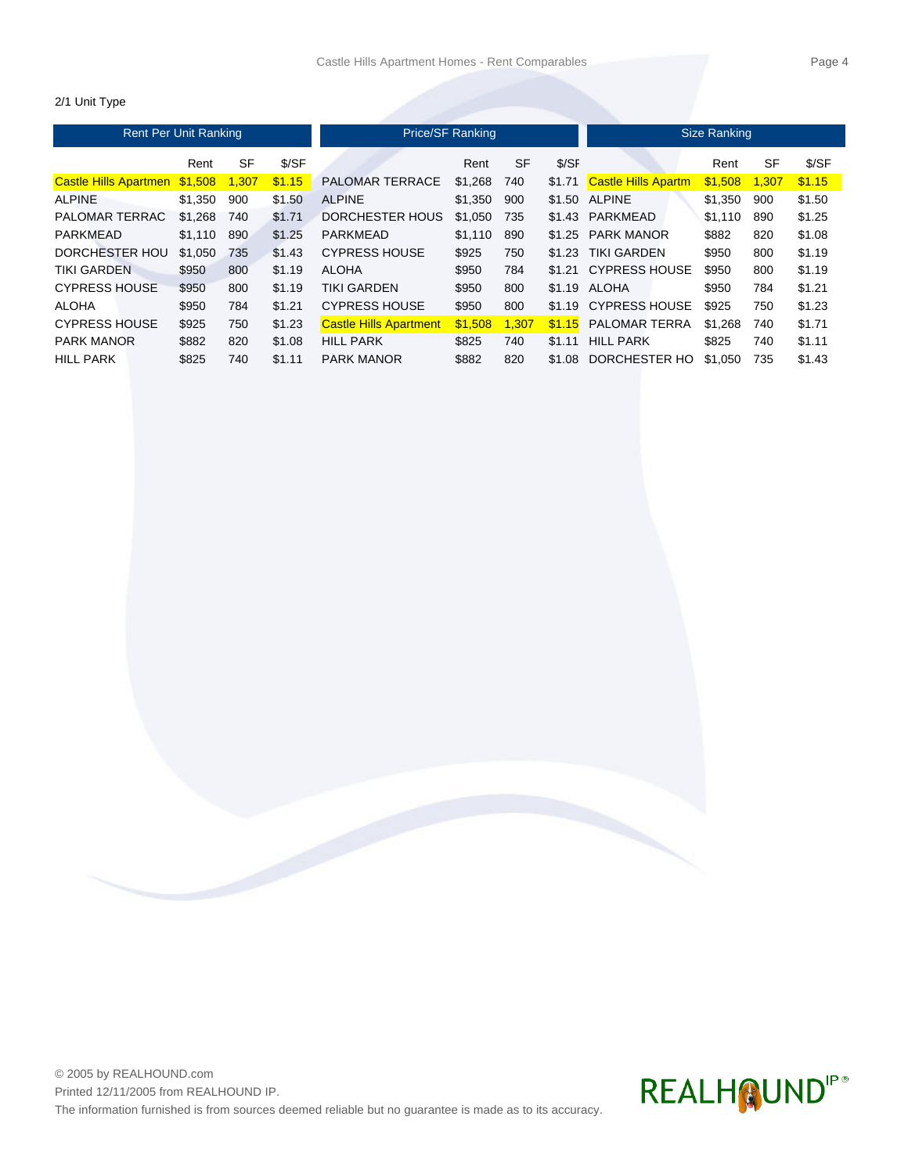### 2/1 Unit Type

| <b>Rent Per Unit Ranking</b> |         |           |        | <b>Price/SF Ranking</b>       | Size Ranking |           |        |                            |         |           |        |
|------------------------------|---------|-----------|--------|-------------------------------|--------------|-----------|--------|----------------------------|---------|-----------|--------|
|                              | Rent    | <b>SF</b> | S/SF   |                               | Rent         | <b>SF</b> | \$/SF  |                            | Rent    | <b>SF</b> | \$/SF  |
| <b>Castle Hills Apartmen</b> | \$1.508 | 1.307     | \$1.15 | <b>PALOMAR TERRACE</b>        | \$1.268      | 740       | \$1.71 | <b>Castle Hills Apartm</b> | \$1,508 | 1.307     | \$1.15 |
| <b>ALPINE</b>                | \$1,350 | 900       | \$1.50 | <b>ALPINE</b>                 | \$1,350      | 900       | \$1.50 | <b>ALPINE</b>              | \$1.350 | 900       | \$1.50 |
| PALOMAR TERRAC               | \$1.268 | 740       | \$1.71 | <b>DORCHESTER HOUS</b>        | \$1,050      | 735       | \$1.43 | PARKMEAD                   | \$1.110 | 890       | \$1.25 |
| PARKMEAD                     | \$1,110 | 890       | \$1.25 | <b>PARKMEAD</b>               | \$1.110      | 890       | \$1.25 | <b>PARK MANOR</b>          | \$882   | 820       | \$1.08 |
| DORCHESTER HOU               | \$1.050 | 735       | \$1.43 | <b>CYPRESS HOUSE</b>          | \$925        | 750       | \$1.23 | <b>TIKI GARDEN</b>         | \$950   | 800       | \$1.19 |
| <b>TIKI GARDEN</b>           | \$950   | 800       | \$1.19 | <b>ALOHA</b>                  | \$950        | 784       |        | \$1.21 CYPRESS HOUSE       | \$950   | 800       | \$1.19 |
| <b>CYPRESS HOUSE</b>         | \$950   | 800       | \$1.19 | <b>TIKI GARDEN</b>            | \$950        | 800       | \$1.19 | ALOHA                      | \$950   | 784       | \$1.21 |
| <b>ALOHA</b>                 | \$950   | 784       | \$1.21 | <b>CYPRESS HOUSE</b>          | \$950        | 800       | \$1.19 | <b>CYPRESS HOUSE</b>       | \$925   | 750       | \$1.23 |
| <b>CYPRESS HOUSE</b>         | \$925   | 750       | \$1.23 | <b>Castle Hills Apartment</b> | \$1.508      | 1.307     | \$1.15 | <b>PALOMAR TERRA</b>       | \$1.268 | 740       | \$1.71 |
| <b>PARK MANOR</b>            | \$882   | 820       | \$1.08 | <b>HILL PARK</b>              | \$825        | 740       | \$1.11 | <b>HILL PARK</b>           | \$825   | 740       | \$1.11 |
| <b>HILL PARK</b>             | \$825   | 740       | \$1.11 | <b>PARK MANOR</b>             | \$882        | 820       | \$1.08 | DORCHESTER HO              | \$1.050 | 735       | \$1.43 |

# REALH QUNDIP®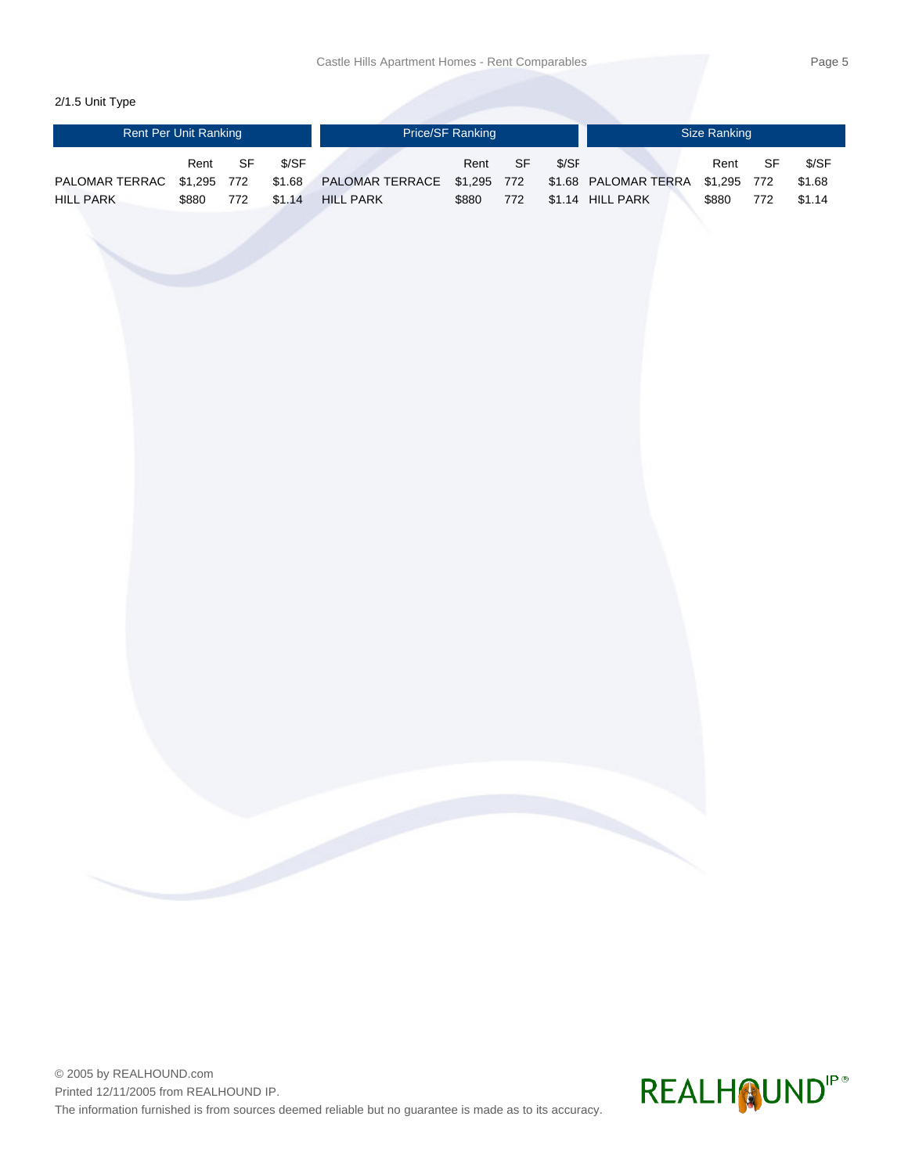# 2/1.5 Unit Type

| <b>Rent Per Unit Ranking</b> |       |      |        | <b>Price/SF Ranking</b>     |       |     |       | Size Ranking                     |       |     |        |  |
|------------------------------|-------|------|--------|-----------------------------|-------|-----|-------|----------------------------------|-------|-----|--------|--|
|                              | Rent  | - SF | \$/SF  |                             | Rent  | SF. | \$/SF |                                  | Rent  | SF  | \$/SF  |  |
| PALOMAR TERRAC \$1,295 772   |       |      | \$1.68 | PALOMAR TERRACE \$1,295 772 |       |     |       | \$1.68 PALOMAR TERRA \$1,295 772 |       |     | \$1.68 |  |
| <b>HILL PARK</b>             | \$880 | 772  | \$1.14 | <b>HILL PARK</b>            | \$880 | 772 |       | \$1.14 HILL PARK                 | \$880 | 772 | \$1.14 |  |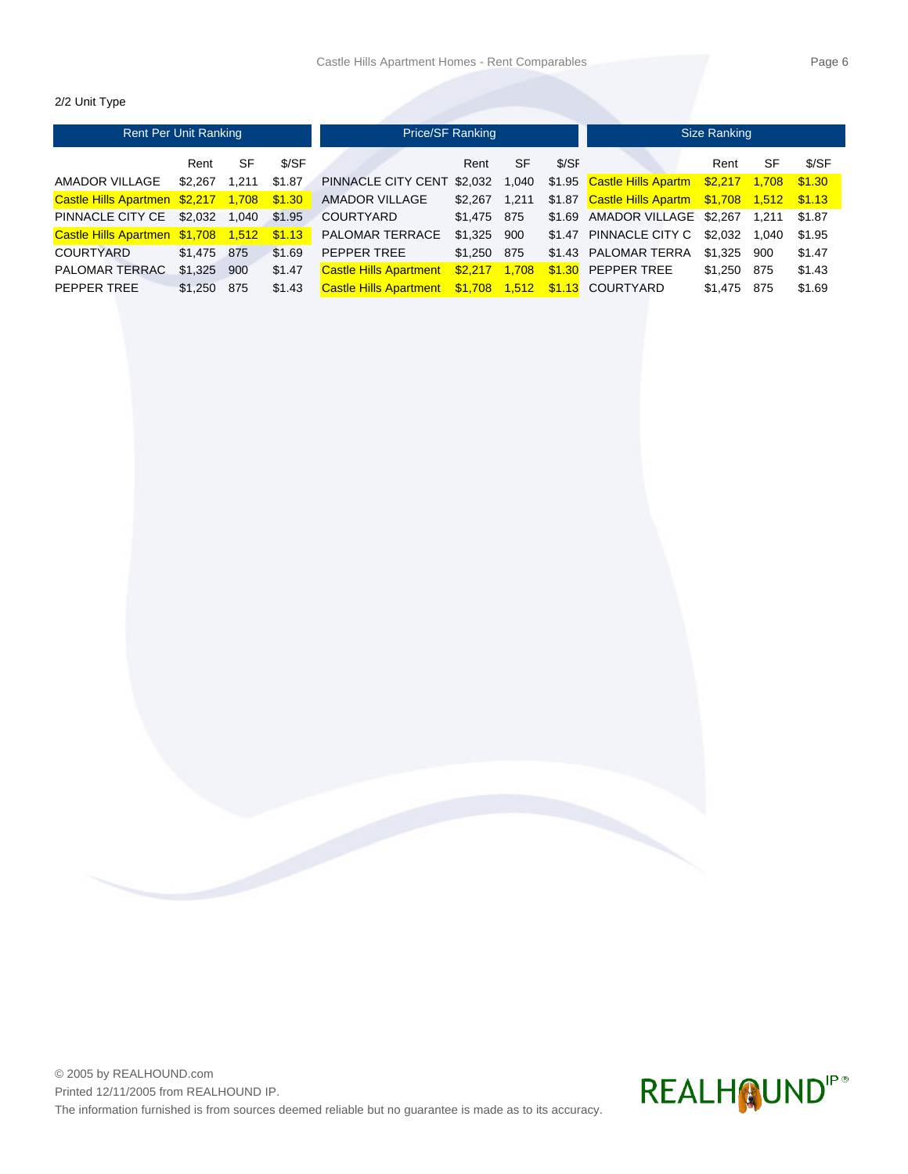### 2/2 Unit Type

| <b>Rent Per Unit Ranking</b>               |         |       |        | Price/SF Ranking              | Size Ranking |       |       |                                                 |             |       |        |
|--------------------------------------------|---------|-------|--------|-------------------------------|--------------|-------|-------|-------------------------------------------------|-------------|-------|--------|
|                                            | Rent    | SF    | \$/SF  |                               | Rent         | SF    | \$/SF |                                                 | Rent        | SF    | \$/SF  |
| AMADOR VILLAGE                             | \$2.267 | 1.211 | \$1.87 | PINNACLE CITY CENT            | \$2,032      | 1,040 |       | \$1.95 Castle Hills Apartm \$2,217 1,708        |             |       | \$1.30 |
| Castle Hills Apartmen \$2,217 1,708 \$1.30 |         |       |        | <b>AMADOR VILLAGE</b>         | \$2.267      | 1.211 |       | \$1.87 Castle Hills Apartm \$1,708 1,512 \$1.13 |             |       |        |
| PINNACLE CITY CE \$2.032 1.040             |         |       | \$1.95 | <b>COURTYARD</b>              | \$1,475 875  |       |       | \$1.69 AMADOR VILLAGE \$2,267                   |             | 1.211 | \$1.87 |
| Castle Hills Apartmen \$1,708 1,512        |         |       | \$1.13 | <b>PALOMAR TERRACE</b>        | \$1.325 900  |       |       | \$1.47 PINNACLE CITY C \$2.032                  |             | 1.040 | \$1.95 |
| COURTYARD                                  | \$1.475 | 875   | \$1.69 | PEPPER TREE                   | \$1.250 875  |       |       | \$1.43 PALOMAR TERRA                            | \$1.325 900 |       | \$1.47 |
| <b>PALOMAR TERRAC</b>                      | \$1,325 | 900   | \$1.47 | <b>Castle Hills Apartment</b> | \$2.217      | 1,708 |       | $$1.30$ PEPPER TREE                             | \$1.250 875 |       | \$1.43 |
| PEPPER TREE                                | \$1,250 | 875   | \$1.43 | <b>Castle Hills Apartment</b> |              |       |       |                                                 | \$1,475     | 875   | \$1.69 |



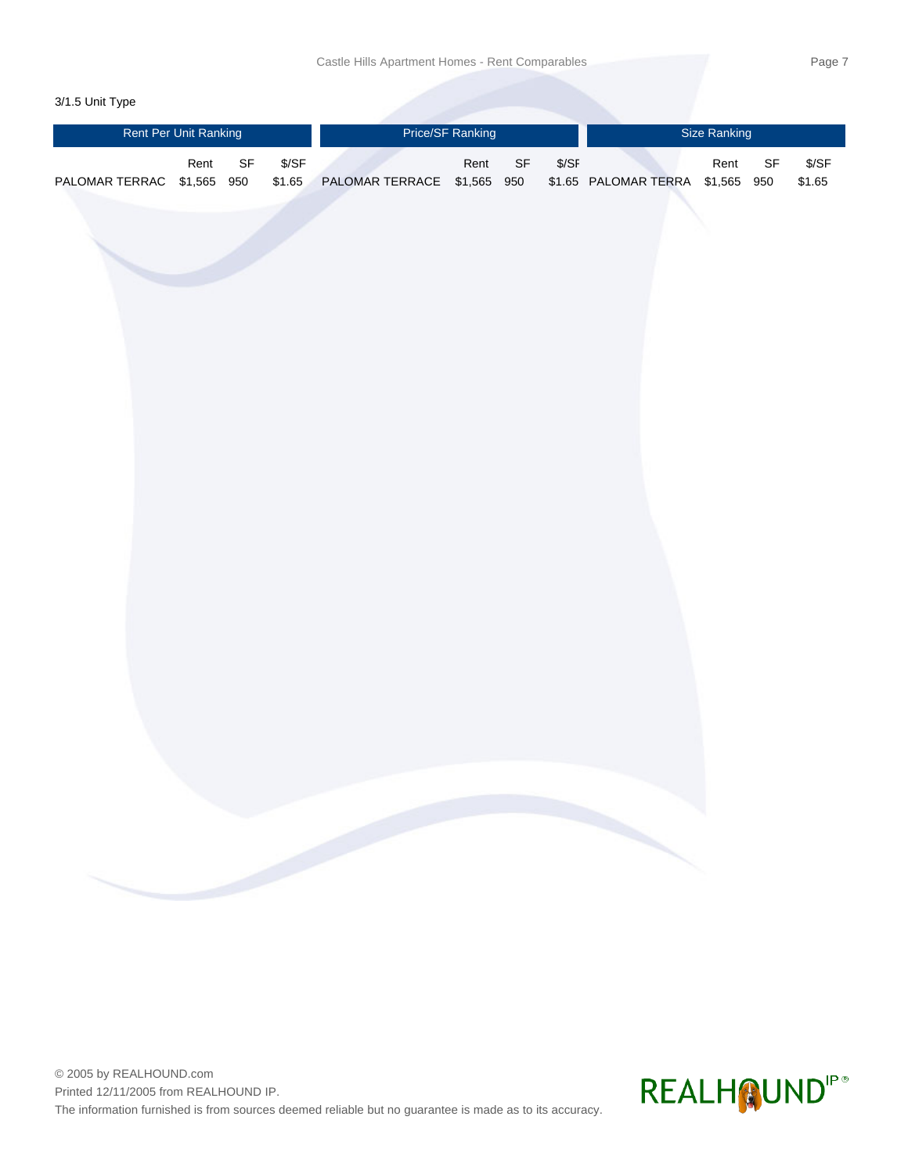#### 3/1.5 Unit Type

|                            | <b>Rent Per Unit Ranking</b> |                                   |                  | Price/SF Ranking            |      |                                   |        | <b>Size Ranking</b>              |  |      |                                   |                  |  |
|----------------------------|------------------------------|-----------------------------------|------------------|-----------------------------|------|-----------------------------------|--------|----------------------------------|--|------|-----------------------------------|------------------|--|
| PALOMAR TERRAC \$1,565 950 | Rent                         | $\ensuremath{\mathsf{SF}}\xspace$ | $S/SF$<br>\$1.65 | PALOMAR TERRACE \$1,565 950 | Rent | $\ensuremath{\mathsf{SF}}\xspace$ | $S/SF$ | \$1.65 PALOMAR TERRA \$1,565 950 |  | Rent | $\ensuremath{\mathsf{SF}}\xspace$ | $S/SF$<br>\$1.65 |  |
|                            |                              |                                   |                  |                             |      |                                   |        |                                  |  |      |                                   |                  |  |
|                            |                              |                                   |                  |                             |      |                                   |        |                                  |  |      |                                   |                  |  |
|                            |                              |                                   |                  |                             |      |                                   |        |                                  |  |      |                                   |                  |  |
|                            |                              |                                   |                  |                             |      |                                   |        |                                  |  |      |                                   |                  |  |
|                            |                              |                                   |                  |                             |      |                                   |        |                                  |  |      |                                   |                  |  |
|                            |                              |                                   |                  |                             |      |                                   |        |                                  |  |      |                                   |                  |  |
|                            |                              |                                   |                  |                             |      |                                   |        |                                  |  |      |                                   |                  |  |
|                            |                              |                                   |                  |                             |      |                                   |        |                                  |  |      |                                   |                  |  |
|                            |                              |                                   |                  |                             |      |                                   |        |                                  |  |      |                                   |                  |  |
|                            |                              |                                   |                  |                             |      |                                   |        |                                  |  |      |                                   |                  |  |
|                            |                              |                                   |                  |                             |      |                                   |        |                                  |  |      |                                   |                  |  |
|                            |                              |                                   |                  |                             |      |                                   |        |                                  |  |      |                                   |                  |  |

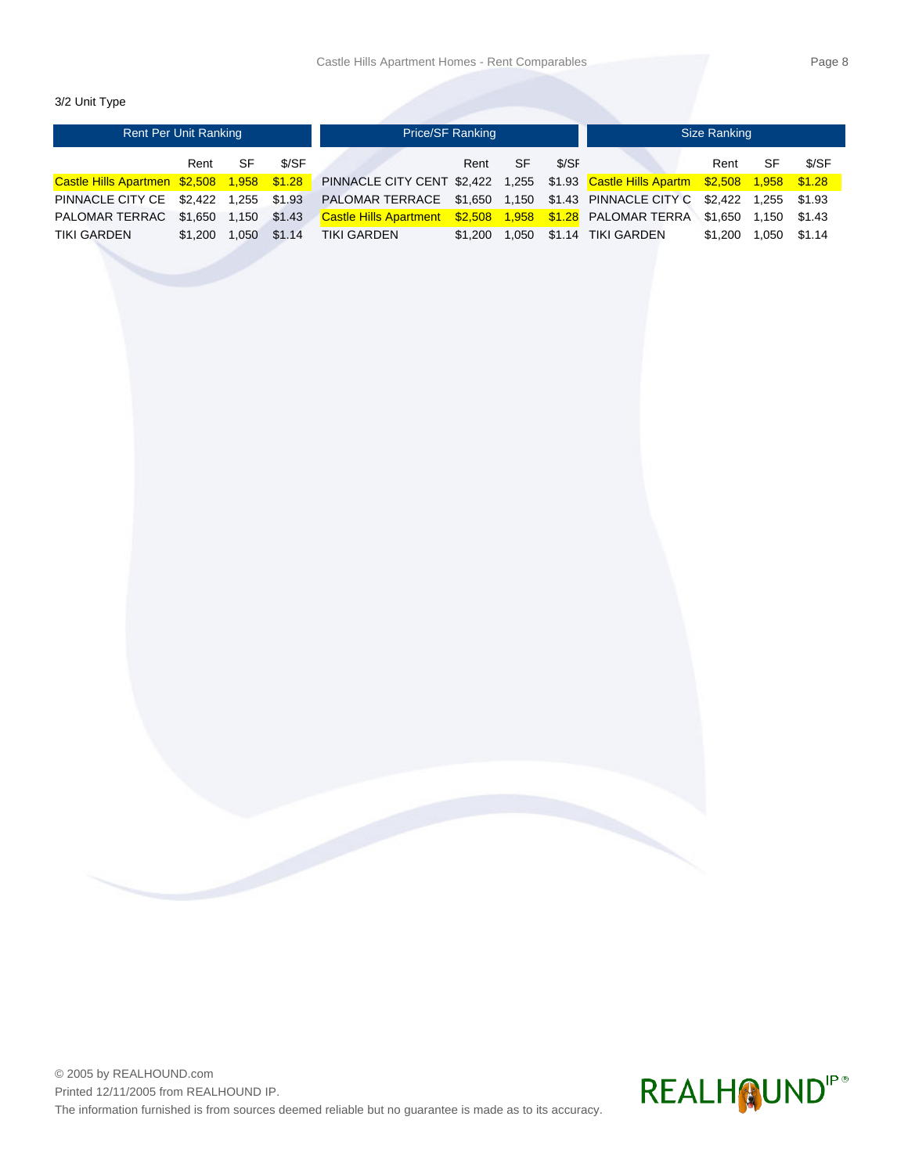3/2 Unit Type

| <b>Rent Per Unit Ranking</b>               |               |       |        | Price/SF Ranking                                                                 |         |           |       | Size Ranking       |         |       |        |  |
|--------------------------------------------|---------------|-------|--------|----------------------------------------------------------------------------------|---------|-----------|-------|--------------------|---------|-------|--------|--|
|                                            | Rent          | SF    | \$/SF  |                                                                                  | Rent    | <b>SF</b> | \$/SF |                    | Rent    | SF    | \$/SF  |  |
| Castle Hills Apartmen \$2,508 1,958 \$1.28 |               |       |        | PINNACLE CITY CENT \$2,422 1,255 \$1.93 Castle Hills Apartm \$2,508 1,958 \$1.28 |         |           |       |                    |         |       |        |  |
| PINNACLE CITY CE \$2.422 1.255 \$1.93      |               |       |        | PALOMAR TERRACE \$1,650 1,150 \$1.43 PINNACLE CITY C \$2,422 1,255               |         |           |       |                    |         |       | \$1.93 |  |
| PALOMAR TERRAC                             | \$1,650 1,150 |       | \$1.43 | Castle Hills Apartment \$2,508 1,958 \$1.28 PALOMAR TERRA \$1,650                |         |           |       |                    |         | 1.150 | \$1.43 |  |
| TIKI GARDEN                                | \$1,200       | 1.050 | \$1.14 | TIKI GARDEN                                                                      | \$1.200 | 1.050     |       | \$1.14 TIKI GARDEN | \$1,200 | 1.050 | \$1.14 |  |